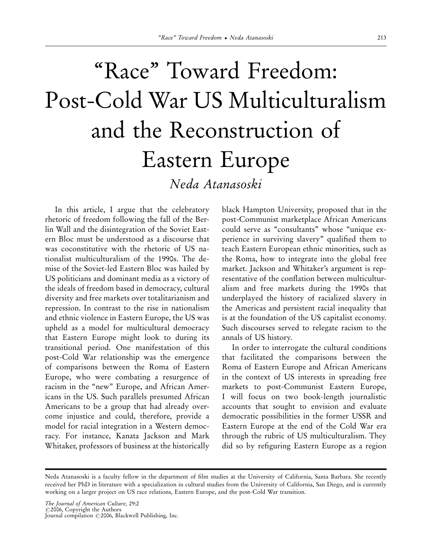# "Race" Toward Freedom: Post-Cold War US Multiculturalism and the Reconstruction of Eastern Europe Neda Atanasoski

In this article, I argue that the celebratory rhetoric of freedom following the fall of the Berlin Wall and the disintegration of the Soviet Eastern Bloc must be understood as a discourse that was coconstitutive with the rhetoric of US nationalist multiculturalism of the 1990s. The demise of the Soviet-led Eastern Bloc was hailed by US politicians and dominant media as a victory of the ideals of freedom based in democracy, cultural diversity and free markets over totalitarianism and repression. In contrast to the rise in nationalism and ethnic violence in Eastern Europe, the US was upheld as a model for multicultural democracy that Eastern Europe might look to during its transitional period. One manifestation of this post-Cold War relationship was the emergence of comparisons between the Roma of Eastern Europe, who were combating a resurgence of racism in the "new" Europe, and African Americans in the US. Such parallels presumed African Americans to be a group that had already overcome injustice and could, therefore, provide a model for racial integration in a Western democracy. For instance, Kanata Jackson and Mark Whitaker, professors of business at the historically

black Hampton University, proposed that in the post-Communist marketplace African Americans could serve as ''consultants'' whose ''unique experience in surviving slavery'' qualified them to teach Eastern European ethnic minorities, such as the Roma, how to integrate into the global free market. Jackson and Whitaker's argument is representative of the conflation between multiculturalism and free markets during the 1990s that underplayed the history of racialized slavery in the Americas and persistent racial inequality that is at the foundation of the US capitalist economy. Such discourses served to relegate racism to the annals of US history.

In order to interrogate the cultural conditions that facilitated the comparisons between the Roma of Eastern Europe and African Americans in the context of US interests in spreading free markets to post-Communist Eastern Europe, I will focus on two book-length journalistic accounts that sought to envision and evaluate democratic possibilities in the former USSR and Eastern Europe at the end of the Cold War era through the rubric of US multiculturalism. They did so by refiguring Eastern Europe as a region

Neda Atanasoski is a faculty fellow in the department of film studies at the University of California, Santa Barbara. She recently received her PhD in literature with a specialization in cultural studies from the University of California, San Diego, and is currently working on a larger project on US race relations, Eastern Europe, and the post-Cold War transition.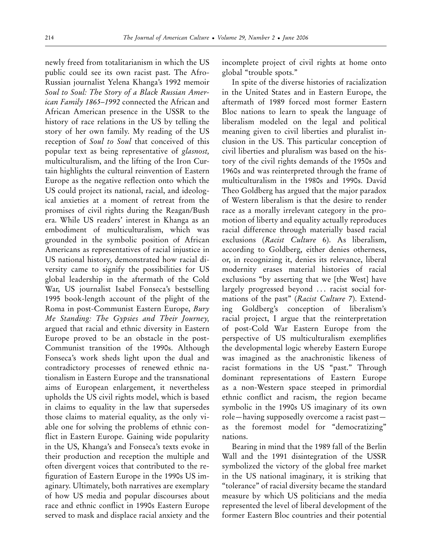newly freed from totalitarianism in which the US public could see its own racist past. The Afro-Russian journalist Yelena Khanga's 1992 memoir Soul to Soul: The Story of a Black Russian American Family 1865–1992 connected the African and African American presence in the USSR to the history of race relations in the US by telling the story of her own family. My reading of the US reception of *Soul to Soul* that conceived of this popular text as being representative of glasnost, multiculturalism, and the lifting of the Iron Curtain highlights the cultural reinvention of Eastern Europe as the negative reflection onto which the US could project its national, racial, and ideological anxieties at a moment of retreat from the promises of civil rights during the Reagan/Bush era. While US readers' interest in Khanga as an embodiment of multiculturalism, which was grounded in the symbolic position of African Americans as representatives of racial injustice in US national history, demonstrated how racial diversity came to signify the possibilities for US global leadership in the aftermath of the Cold War, US journalist Isabel Fonseca's bestselling 1995 book-length account of the plight of the Roma in post-Communist Eastern Europe, Bury Me Standing: The Gypsies and Their Journey, argued that racial and ethnic diversity in Eastern Europe proved to be an obstacle in the post-Communist transition of the 1990s. Although Fonseca's work sheds light upon the dual and contradictory processes of renewed ethnic nationalism in Eastern Europe and the transnational aims of European enlargement, it nevertheless upholds the US civil rights model, which is based in claims to equality in the law that supersedes those claims to material equality, as the only viable one for solving the problems of ethnic conflict in Eastern Europe. Gaining wide popularity in the US, Khanga's and Fonseca's texts evoke in their production and reception the multiple and often divergent voices that contributed to the refiguration of Eastern Europe in the 1990s US imaginary. Ultimately, both narratives are exemplary of how US media and popular discourses about race and ethnic conflict in 1990s Eastern Europe served to mask and displace racial anxiety and the

incomplete project of civil rights at home onto global ''trouble spots.''

In spite of the diverse histories of racialization in the United States and in Eastern Europe, the aftermath of 1989 forced most former Eastern Bloc nations to learn to speak the language of liberalism modeled on the legal and political meaning given to civil liberties and pluralist inclusion in the US. This particular conception of civil liberties and pluralism was based on the history of the civil rights demands of the 1950s and 1960s and was reinterpreted through the frame of multiculturalism in the 1980s and 1990s. David Theo Goldberg has argued that the major paradox of Western liberalism is that the desire to render race as a morally irrelevant category in the promotion of liberty and equality actually reproduces racial difference through materially based racial exclusions (Racist Culture 6). As liberalism, according to Goldberg, either denies otherness, or, in recognizing it, denies its relevance, liberal modernity erases material histories of racial exclusions "by asserting that we [the West] have largely progressed beyond ... racist social formations of the past" (Racist Culture 7). Extending Goldberg's conception of liberalism's racial project, I argue that the reinterpretation of post-Cold War Eastern Europe from the perspective of US multiculturalism exemplifies the developmental logic whereby Eastern Europe was imagined as the anachronistic likeness of racist formations in the US "past." Through dominant representations of Eastern Europe as a non-Western space steeped in primordial ethnic conflict and racism, the region became symbolic in the 1990s US imaginary of its own role—having supposedly overcome a racist past as the foremost model for ''democratizing'' nations.

Bearing in mind that the 1989 fall of the Berlin Wall and the 1991 disintegration of the USSR symbolized the victory of the global free market in the US national imaginary, it is striking that ''tolerance'' of racial diversity became the standard measure by which US politicians and the media represented the level of liberal development of the former Eastern Bloc countries and their potential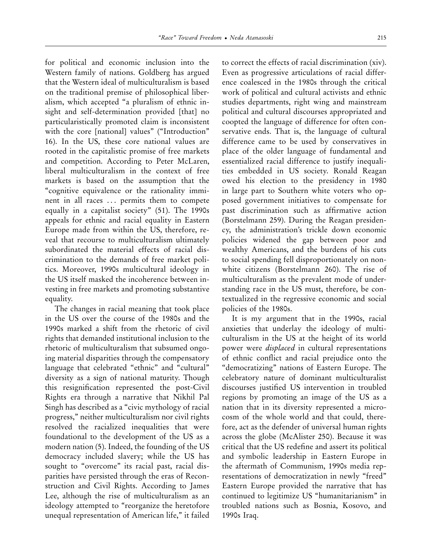for political and economic inclusion into the Western family of nations. Goldberg has argued that the Western ideal of multiculturalism is based on the traditional premise of philosophical liberalism, which accepted ''a pluralism of ethnic insight and self-determination provided [that] no particularistically promoted claim is inconsistent with the core [national] values" ("Introduction" 16). In the US, these core national values are rooted in the capitalistic promise of free markets and competition. According to Peter McLaren, liberal multiculturalism in the context of free markets is based on the assumption that the ''cognitive equivalence or the rationality imminent in all races ... permits them to compete equally in a capitalist society'' (51). The 1990s appeals for ethnic and racial equality in Eastern Europe made from within the US, therefore, reveal that recourse to multiculturalism ultimately subordinated the material effects of racial discrimination to the demands of free market politics. Moreover, 1990s multicultural ideology in the US itself masked the incoherence between investing in free markets and promoting substantive equality.

The changes in racial meaning that took place in the US over the course of the 1980s and the 1990s marked a shift from the rhetoric of civil rights that demanded institutional inclusion to the rhetoric of multiculturalism that subsumed ongoing material disparities through the compensatory language that celebrated "ethnic" and "cultural" diversity as a sign of national maturity. Though this resignification represented the post-Civil Rights era through a narrative that Nikhil Pal Singh has described as a "civic mythology of racial progress,'' neither multiculturalism nor civil rights resolved the racialized inequalities that were foundational to the development of the US as a modern nation (5). Indeed, the founding of the US democracy included slavery; while the US has sought to "overcome" its racial past, racial disparities have persisted through the eras of Reconstruction and Civil Rights. According to James Lee, although the rise of multiculturalism as an ideology attempted to "reorganize the heretofore unequal representation of American life," it failed

to correct the effects of racial discrimination (xiv). Even as progressive articulations of racial difference coalesced in the 1980s through the critical work of political and cultural activists and ethnic studies departments, right wing and mainstream political and cultural discourses appropriated and coopted the language of difference for often conservative ends. That is, the language of cultural difference came to be used by conservatives in place of the older language of fundamental and essentialized racial difference to justify inequalities embedded in US society. Ronald Reagan owed his election to the presidency in 1980 in large part to Southern white voters who opposed government initiatives to compensate for past discrimination such as affirmative action (Borstelmann 259). During the Reagan presidency, the administration's trickle down economic policies widened the gap between poor and wealthy Americans, and the burdens of his cuts to social spending fell disproportionately on nonwhite citizens (Borstelmann 260). The rise of multiculturalism as the prevalent mode of understanding race in the US must, therefore, be contextualized in the regressive economic and social policies of the 1980s.

It is my argument that in the 1990s, racial anxieties that underlay the ideology of multiculturalism in the US at the height of its world power were displaced in cultural representations of ethnic conflict and racial prejudice onto the "democratizing" nations of Eastern Europe. The celebratory nature of dominant multiculturalist discourses justified US intervention in troubled regions by promoting an image of the US as a nation that in its diversity represented a microcosm of the whole world and that could, therefore, act as the defender of universal human rights across the globe (McAlister 250). Because it was critical that the US redefine and assert its political and symbolic leadership in Eastern Europe in the aftermath of Communism, 1990s media representations of democratization in newly "freed" Eastern Europe provided the narrative that has continued to legitimize US ''humanitarianism'' in troubled nations such as Bosnia, Kosovo, and 1990s Iraq.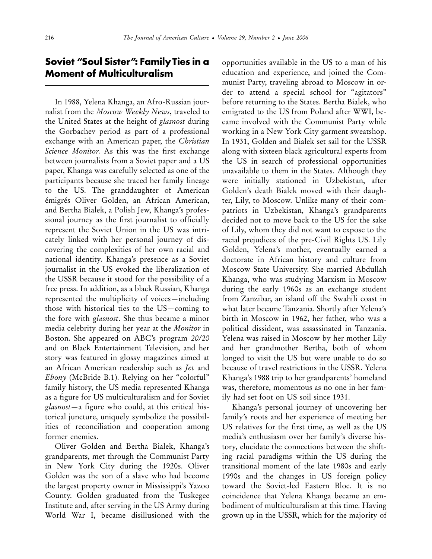## Soviet ''Soul Sister'': FamilyTies in a Moment of Multiculturalism

In 1988, Yelena Khanga, an Afro-Russian journalist from the Moscow Weekly News, traveled to the United States at the height of glasnost during the Gorbachev period as part of a professional exchange with an American paper, the Christian Science Monitor. As this was the first exchange between journalists from a Soviet paper and a US paper, Khanga was carefully selected as one of the participants because she traced her family lineage to the US. The granddaughter of American émigrés Oliver Golden, an African American, and Bertha Bialek, a Polish Jew, Khanga's professional journey as the first journalist to officially represent the Soviet Union in the US was intricately linked with her personal journey of discovering the complexities of her own racial and national identity. Khanga's presence as a Soviet journalist in the US evoked the liberalization of the USSR because it stood for the possibility of a free press. In addition, as a black Russian, Khanga represented the multiplicity of voices—including those with historical ties to the US—coming to the fore with glasnost. She thus became a minor media celebrity during her year at the Monitor in Boston. She appeared on ABC's program 20/20 and on Black Entertainment Television, and her story was featured in glossy magazines aimed at an African American readership such as Jet and  $Ebony$  (McBride B.1). Relying on her "colorful" family history, the US media represented Khanga as a figure for US multiculturalism and for Soviet glasnost—a figure who could, at this critical historical juncture, uniquely symbolize the possibilities of reconciliation and cooperation among former enemies.

Oliver Golden and Bertha Bialek, Khanga's grandparents, met through the Communist Party in New York City during the 1920s. Oliver Golden was the son of a slave who had become the largest property owner in Mississippi's Yazoo County. Golden graduated from the Tuskegee Institute and, after serving in the US Army during World War I, became disillusioned with the opportunities available in the US to a man of his education and experience, and joined the Communist Party, traveling abroad to Moscow in order to attend a special school for "agitators" before returning to the States. Bertha Bialek, who emigrated to the US from Poland after WWI, became involved with the Communist Party while working in a New York City garment sweatshop. In 1931, Golden and Bialek set sail for the USSR along with sixteen black agricultural experts from the US in search of professional opportunities unavailable to them in the States. Although they were initially stationed in Uzbekistan, after Golden's death Bialek moved with their daughter, Lily, to Moscow. Unlike many of their compatriots in Uzbekistan, Khanga's grandparents decided not to move back to the US for the sake of Lily, whom they did not want to expose to the racial prejudices of the pre-Civil Rights US. Lily Golden, Yelena's mother, eventually earned a doctorate in African history and culture from Moscow State University. She married Abdullah Khanga, who was studying Marxism in Moscow during the early 1960s as an exchange student from Zanzibar, an island off the Swahili coast in what later became Tanzania. Shortly after Yelena's birth in Moscow in 1962, her father, who was a political dissident, was assassinated in Tanzania. Yelena was raised in Moscow by her mother Lily and her grandmother Bertha, both of whom longed to visit the US but were unable to do so because of travel restrictions in the USSR. Yelena Khanga's 1988 trip to her grandparents' homeland was, therefore, momentous as no one in her family had set foot on US soil since 1931.

Khanga's personal journey of uncovering her family's roots and her experience of meeting her US relatives for the first time, as well as the US media's enthusiasm over her family's diverse history, elucidate the connections between the shifting racial paradigms within the US during the transitional moment of the late 1980s and early 1990s and the changes in US foreign policy toward the Soviet-led Eastern Bloc. It is no coincidence that Yelena Khanga became an embodiment of multiculturalism at this time. Having grown up in the USSR, which for the majority of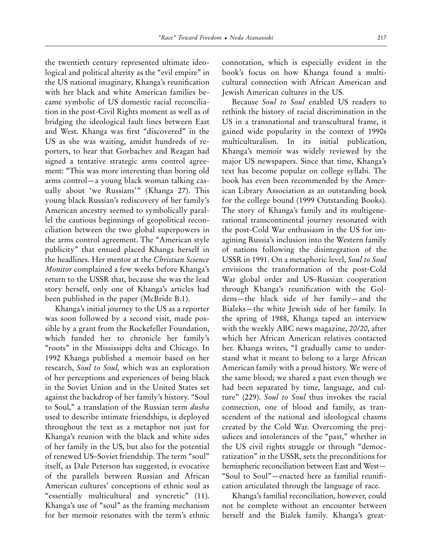the twentieth century represented ultimate ideological and political alterity as the "evil empire" in the US national imaginary, Khanga's reunification with her black and white American families became symbolic of US domestic racial reconciliation in the post-Civil Rights moment as well as of bridging the ideological fault lines between East and West. Khanga was first "discovered" in the US as she was waiting, amidst hundreds of reporters, to hear that Gorbachev and Reagan had signed a tentative strategic arms control agreement: "This was more interesting than boring old arms control—a young black woman talking casually about 'we Russians''' (Khanga 27). This young black Russian's rediscovery of her family's American ancestry seemed to symbolically parallel the cautious beginnings of geopolitical reconciliation between the two global superpowers in the arms control agreement. The ''American style publicity'' that ensued placed Khanga herself in the headlines. Her mentor at the Christian Science Monitor complained a few weeks before Khanga's return to the USSR that, because she was the lead story herself, only one of Khanga's articles had been published in the paper (McBride B.1).

Khanga's initial journey to the US as a reporter was soon followed by a second visit, made possible by a grant from the Rockefeller Foundation, which funded her to chronicle her family's "roots" in the Mississippi delta and Chicago. In 1992 Khanga published a memoir based on her research, Soul to Soul, which was an exploration of her perceptions and experiences of being black in the Soviet Union and in the United States set against the backdrop of her family's history. ''Soul to Soul," a translation of the Russian term dusha used to describe intimate friendships, is deployed throughout the text as a metaphor not just for Khanga's reunion with the black and white sides of her family in the US, but also for the potential of renewed US–Soviet friendship. The term ''soul'' itself, as Dale Peterson has suggested, is evocative of the parallels between Russian and African American cultures' conceptions of ethnic soul as "essentially multicultural and syncretic" (11). Khanga's use of "soul" as the framing mechanism for her memoir resonates with the term's ethnic

connotation, which is especially evident in the book's focus on how Khanga found a multicultural connection with African American and Jewish American cultures in the US.

Because Soul to Soul enabled US readers to rethink the history of racial discrimination in the US in a transnational and transcultural frame, it gained wide popularity in the context of 1990s multiculturalism. In its initial publication, Khanga's memoir was widely reviewed by the major US newspapers. Since that time, Khanga's text has become popular on college syllabi. The book has even been recommended by the American Library Association as an outstanding book for the college bound (1999 Outstanding Books). The story of Khanga's family and its multigenerational transcontinental journey resonated with the post-Cold War enthusiasm in the US for imagining Russia's inclusion into the Western family of nations following the disintegration of the USSR in 1991. On a metaphoric level, Soul to Soul envisions the transformation of the post-Cold War global order and US–Russian cooperation through Khanga's reunification with the Goldens—the black side of her family—and the Bialeks—the white Jewish side of her family. In the spring of 1988, Khanga taped an interview with the weekly ABC news magazine, 20/20, after which her African American relatives contacted her. Khanga writes, "I gradually came to understand what it meant to belong to a large African American family with a proud history. We were of the same blood; we shared a past even though we had been separated by time, language, and culture" (229). Soul to Soul thus invokes the racial connection, one of blood and family, as transcendent of the national and ideological chasms created by the Cold War. Overcoming the prejudices and intolerances of the "past," whether in the US civil rights struggle or through "democratization'' in the USSR, sets the preconditions for hemispheric reconciliation between East and West— "Soul to Soul"—enacted here as familial reunification articulated through the language of race.

Khanga's familial reconciliation, however, could not be complete without an encounter between herself and the Bialek family. Khanga's great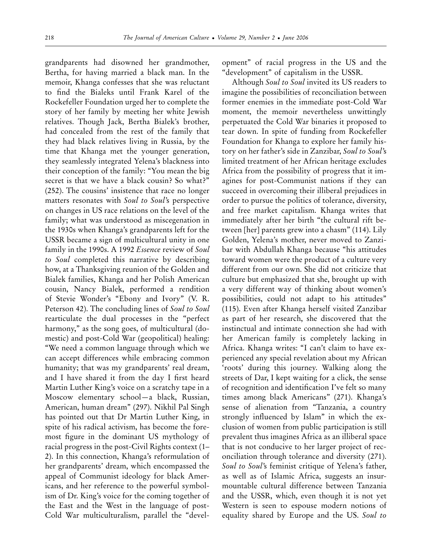grandparents had disowned her grandmother, Bertha, for having married a black man. In the memoir, Khanga confesses that she was reluctant to find the Bialeks until Frank Karel of the Rockefeller Foundation urged her to complete the story of her family by meeting her white Jewish relatives. Though Jack, Bertha Bialek's brother, had concealed from the rest of the family that they had black relatives living in Russia, by the time that Khanga met the younger generation, they seamlessly integrated Yelena's blackness into their conception of the family: ''You mean the big secret is that we have a black cousin? So what?" (252). The cousins' insistence that race no longer matters resonates with Soul to Soul's perspective on changes in US race relations on the level of the family; what was understood as miscegenation in the 1930s when Khanga's grandparents left for the USSR became a sign of multicultural unity in one family in the 1990s. A 1992 Essence review of Soul to Soul completed this narrative by describing how, at a Thanksgiving reunion of the Golden and Bialek families, Khanga and her Polish American cousin, Nancy Bialek, performed a rendition of Stevie Wonder's ''Ebony and Ivory'' (V. R. Peterson 42). The concluding lines of Soul to Soul rearticulate the dual processes in the ''perfect harmony," as the song goes, of multicultural (domestic) and post-Cold War (geopolitical) healing: ''We need a common language through which we can accept differences while embracing common humanity; that was my grandparents' real dream, and I have shared it from the day I first heard Martin Luther King's voice on a scratchy tape in a Moscow elementary school—a black, Russian, American, human dream'' (297). Nikhil Pal Singh has pointed out that Dr Martin Luther King, in spite of his radical activism, has become the foremost figure in the dominant US mythology of racial progress in the post-Civil Rights context (1– 2). In this connection, Khanga's reformulation of her grandparents' dream, which encompassed the appeal of Communist ideology for black Americans, and her reference to the powerful symbolism of Dr. King's voice for the coming together of the East and the West in the language of post-Cold War multiculturalism, parallel the ''development'' of racial progress in the US and the "development" of capitalism in the USSR.

Although Soul to Soul invited its US readers to imagine the possibilities of reconciliation between former enemies in the immediate post-Cold War moment, the memoir nevertheless unwittingly perpetuated the Cold War binaries it proposed to tear down. In spite of funding from Rockefeller Foundation for Khanga to explore her family history on her father's side in Zanzibar, Soul to Soul's limited treatment of her African heritage excludes Africa from the possibility of progress that it imagines for post-Communist nations if they can succeed in overcoming their illiberal prejudices in order to pursue the politics of tolerance, diversity, and free market capitalism. Khanga writes that immediately after her birth "the cultural rift between [her] parents grew into a chasm" (114). Lily Golden, Yelena's mother, never moved to Zanzibar with Abdullah Khanga because ''his attitudes toward women were the product of a culture very different from our own. She did not criticize that culture but emphasized that she, brought up with a very different way of thinking about women's possibilities, could not adapt to his attitudes'' (115). Even after Khanga herself visited Zanzibar as part of her research, she discovered that the instinctual and intimate connection she had with her American family is completely lacking in Africa. Khanga writes: "I can't claim to have experienced any special revelation about my African 'roots' during this journey. Walking along the streets of Dar, I kept waiting for a click, the sense of recognition and identification I've felt so many times among black Americans" (271). Khanga's sense of alienation from "Tanzania, a country strongly influenced by Islam'' in which the exclusion of women from public participation is still prevalent thus imagines Africa as an illiberal space that is not conducive to her larger project of reconciliation through tolerance and diversity (271). Soul to Soul's feminist critique of Yelena's father, as well as of Islamic Africa, suggests an insurmountable cultural difference between Tanzania and the USSR, which, even though it is not yet Western is seen to espouse modern notions of equality shared by Europe and the US. Soul to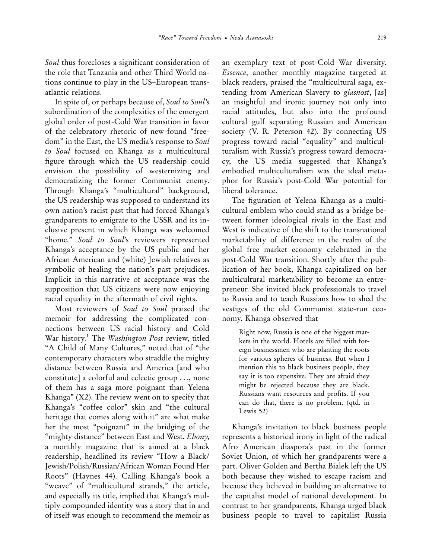Soul thus forecloses a significant consideration of the role that Tanzania and other Third World nations continue to play in the US–European transatlantic relations.

In spite of, or perhaps because of, Soul to Soul's subordination of the complexities of the emergent global order of post-Cold War transition in favor of the celebratory rhetoric of new-found "freedom" in the East, the US media's response to Soul to Soul focused on Khanga as a multicultural figure through which the US readership could envision the possibility of westernizing and democratizing the former Communist enemy. Through Khanga's ''multicultural'' background, the US readership was supposed to understand its own nation's racist past that had forced Khanga's grandparents to emigrate to the USSR and its inclusive present in which Khanga was welcomed "home." Soul to Soul's reviewers represented Khanga's acceptance by the US public and her African American and (white) Jewish relatives as symbolic of healing the nation's past prejudices. Implicit in this narrative of acceptance was the supposition that US citizens were now enjoying racial equality in the aftermath of civil rights.

Most reviewers of Soul to Soul praised the memoir for addressing the complicated connections between US racial history and Cold War history.<sup>1</sup> The Washington Post review, titled "A Child of Many Cultures," noted that of "the contemporary characters who straddle the mighty distance between Russia and America [and who constitute] a colorful and eclectic group . . ., none of them has a saga more poignant than Yelena Khanga"  $(X2)$ . The review went on to specify that Khanga's "coffee color" skin and "the cultural heritage that comes along with it" are what make her the most "poignant" in the bridging of the "mighty distance" between East and West. Ebony, a monthly magazine that is aimed at a black readership, headlined its review "How a Black/ Jewish/Polish/Russian/African Woman Found Her Roots'' (Haynes 44). Calling Khanga's book a "weave" of "multicultural strands," the article, and especially its title, implied that Khanga's multiply compounded identity was a story that in and of itself was enough to recommend the memoir as

an exemplary text of post-Cold War diversity. Essence, another monthly magazine targeted at black readers, praised the ''multicultural saga, extending from American Slavery to glasnost, [as] an insightful and ironic journey not only into racial attitudes, but also into the profound cultural gulf separating Russian and American society (V. R. Peterson 42). By connecting US progress toward racial "equality" and multiculturalism with Russia's progress toward democracy, the US media suggested that Khanga's embodied multiculturalism was the ideal metaphor for Russia's post-Cold War potential for liberal tolerance.

The figuration of Yelena Khanga as a multicultural emblem who could stand as a bridge between former ideological rivals in the East and West is indicative of the shift to the transnational marketability of difference in the realm of the global free market economy celebrated in the post-Cold War transition. Shortly after the publication of her book, Khanga capitalized on her multicultural marketability to become an entrepreneur. She invited black professionals to travel to Russia and to teach Russians how to shed the vestiges of the old Communist state-run economy. Khanga observed that

> Right now, Russia is one of the biggest markets in the world. Hotels are filled with foreign businessmen who are planting the roots for various spheres of business. But when I mention this to black business people, they say it is too expensive. They are afraid they might be rejected because they are black. Russians want resources and profits. If you can do that, there is no problem. (qtd. in Lewis 52)

Khanga's invitation to black business people represents a historical irony in light of the radical Afro American diaspora's past in the former Soviet Union, of which her grandparents were a part. Oliver Golden and Bertha Bialek left the US both because they wished to escape racism and because they believed in building an alternative to the capitalist model of national development. In contrast to her grandparents, Khanga urged black business people to travel to capitalist Russia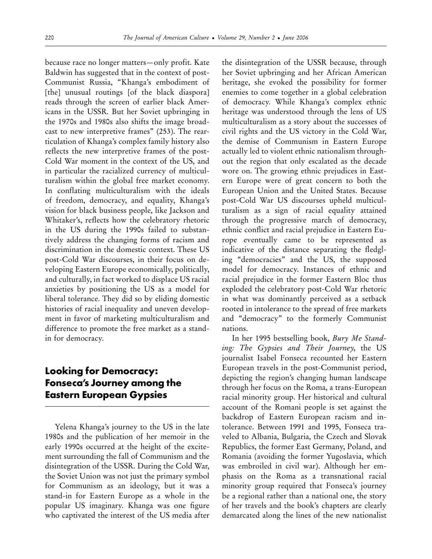because race no longer matters—only profit. Kate Baldwin has suggested that in the context of post-Communist Russia, ''Khanga's embodiment of [the] unusual routings [of the black diaspora] reads through the screen of earlier black Americans in the USSR. But her Soviet upbringing in the 1970s and 1980s also shifts the image broadcast to new interpretive frames'' (253). The rearticulation of Khanga's complex family history also reflects the new interpretive frames of the post-Cold War moment in the context of the US, and in particular the racialized currency of multiculturalism within the global free market economy. In conflating multiculturalism with the ideals of freedom, democracy, and equality, Khanga's vision for black business people, like Jackson and Whitaker's, reflects how the celebratory rhetoric in the US during the 1990s failed to substantively address the changing forms of racism and discrimination in the domestic context. These US post-Cold War discourses, in their focus on developing Eastern Europe economically, politically, and culturally, in fact worked to displace US racial anxieties by positioning the US as a model for liberal tolerance. They did so by eliding domestic histories of racial inequality and uneven development in favor of marketing multiculturalism and difference to promote the free market as a standin for democracy.

## Looking for Democracy: Fonseca's Journey among the Eastern European Gypsies

Yelena Khanga's journey to the US in the late 1980s and the publication of her memoir in the early 1990s occurred at the height of the excitement surrounding the fall of Communism and the disintegration of the USSR. During the Cold War, the Soviet Union was not just the primary symbol for Communism as an ideology, but it was a stand-in for Eastern Europe as a whole in the popular US imaginary. Khanga was one figure who captivated the interest of the US media after the disintegration of the USSR because, through her Soviet upbringing and her African American heritage, she evoked the possibility for former enemies to come together in a global celebration of democracy. While Khanga's complex ethnic heritage was understood through the lens of US multiculturalism as a story about the successes of civil rights and the US victory in the Cold War, the demise of Communism in Eastern Europe actually led to violent ethnic nationalism throughout the region that only escalated as the decade wore on. The growing ethnic prejudices in Eastern Europe were of great concern to both the European Union and the United States. Because post-Cold War US discourses upheld multiculturalism as a sign of racial equality attained through the progressive march of democracy, ethnic conflict and racial prejudice in Eastern Europe eventually came to be represented as indicative of the distance separating the fledgling ''democracies'' and the US, the supposed model for democracy. Instances of ethnic and racial prejudice in the former Eastern Bloc thus exploded the celebratory post-Cold War rhetoric in what was dominantly perceived as a setback rooted in intolerance to the spread of free markets and ''democracy'' to the formerly Communist nations.

In her 1995 bestselling book, Bury Me Standing: The Gypsies and Their Journey, the US journalist Isabel Fonseca recounted her Eastern European travels in the post-Communist period, depicting the region's changing human landscape through her focus on the Roma, a trans-European racial minority group. Her historical and cultural account of the Romani people is set against the backdrop of Eastern European racism and intolerance. Between 1991 and 1995, Fonseca traveled to Albania, Bulgaria, the Czech and Slovak Republics, the former East Germany, Poland, and Romania (avoiding the former Yugoslavia, which was embroiled in civil war). Although her emphasis on the Roma as a transnational racial minority group required that Fonseca's journey be a regional rather than a national one, the story of her travels and the book's chapters are clearly demarcated along the lines of the new nationalist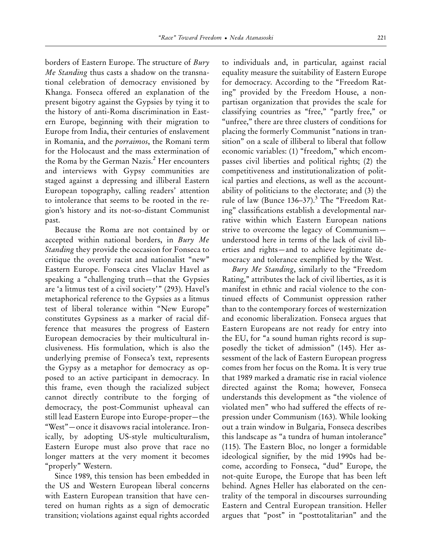borders of Eastern Europe. The structure of *Bury* Me Standing thus casts a shadow on the transnational celebration of democracy envisioned by Khanga. Fonseca offered an explanation of the present bigotry against the Gypsies by tying it to the history of anti-Roma discrimination in Eastern Europe, beginning with their migration to Europe from India, their centuries of enslavement in Romania, and the porraimos, the Romani term for the Holocaust and the mass extermination of the Roma by the German Nazis.<sup>2</sup> Her encounters and interviews with Gypsy communities are staged against a depressing and illiberal Eastern European topography, calling readers' attention to intolerance that seems to be rooted in the region's history and its not-so-distant Communist past.

Because the Roma are not contained by or accepted within national borders, in Bury Me Standing they provide the occasion for Fonseca to critique the overtly racist and nationalist "new" Eastern Europe. Fonseca cites Vlaclav Havel as speaking a ''challenging truth—that the Gypsies are 'a litmus test of a civil society''' (293). Havel's metaphorical reference to the Gypsies as a litmus test of liberal tolerance within ''New Europe'' constitutes Gypsiness as a marker of racial difference that measures the progress of Eastern European democracies by their multicultural inclusiveness. His formulation, which is also the underlying premise of Fonseca's text, represents the Gypsy as a metaphor for democracy as opposed to an active participant in democracy. In this frame, even though the racialized subject cannot directly contribute to the forging of democracy, the post-Communist upheaval can still lead Eastern Europe into Europe-proper—the "West" – once it disavows racial intolerance. Ironically, by adopting US-style multiculturalism, Eastern Europe must also prove that race no longer matters at the very moment it becomes "properly" Western.

Since 1989, this tension has been embedded in the US and Western European liberal concerns with Eastern European transition that have centered on human rights as a sign of democratic transition; violations against equal rights accorded to individuals and, in particular, against racial equality measure the suitability of Eastern Europe for democracy. According to the "Freedom Rating'' provided by the Freedom House, a nonpartisan organization that provides the scale for classifying countries as "free," "partly free," or ''unfree,'' there are three clusters of conditions for placing the formerly Communist "nations in transition'' on a scale of illiberal to liberal that follow economic variables: (1) "freedom," which encompasses civil liberties and political rights; (2) the competitiveness and institutionalization of political parties and elections, as well as the accountability of politicians to the electorate; and (3) the rule of law (Bunce  $136-37$ ).<sup>3</sup> The "Freedom Rating'' classifications establish a developmental narrative within which Eastern European nations strive to overcome the legacy of Communism understood here in terms of the lack of civil liberties and rights—and to achieve legitimate democracy and tolerance exemplified by the West.

Bury Me Standing, similarly to the "Freedom" Rating,'' attributes the lack of civil liberties, as it is manifest in ethnic and racial violence to the continued effects of Communist oppression rather than to the contemporary forces of westernization and economic liberalization. Fonseca argues that Eastern Europeans are not ready for entry into the EU, for "a sound human rights record is supposedly the ticket of admission'' (145). Her assessment of the lack of Eastern European progress comes from her focus on the Roma. It is very true that 1989 marked a dramatic rise in racial violence directed against the Roma; however, Fonseca understands this development as ''the violence of violated men'' who had suffered the effects of repression under Communism (163). While looking out a train window in Bulgaria, Fonseca describes this landscape as ''a tundra of human intolerance'' (115). The Eastern Bloc, no longer a formidable ideological signifier, by the mid 1990s had become, according to Fonseca, "dud" Europe, the not-quite Europe, the Europe that has been left behind. Agnes Heller has elaborated on the centrality of the temporal in discourses surrounding Eastern and Central European transition. Heller argues that ''post'' in ''posttotalitarian'' and the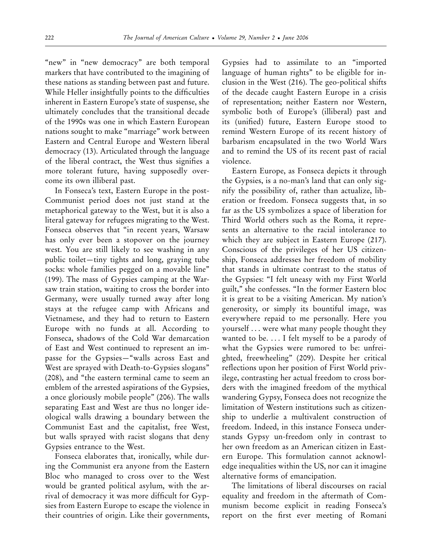"new" in "new democracy" are both temporal markers that have contributed to the imagining of these nations as standing between past and future. While Heller insightfully points to the difficulties inherent in Eastern Europe's state of suspense, she ultimately concludes that the transitional decade of the 1990s was one in which Eastern European nations sought to make "marriage" work between Eastern and Central Europe and Western liberal democracy (13). Articulated through the language of the liberal contract, the West thus signifies a more tolerant future, having supposedly overcome its own illiberal past.

In Fonseca's text, Eastern Europe in the post-Communist period does not just stand at the metaphorical gateway to the West, but it is also a literal gateway for refugees migrating to the West. Fonseca observes that "in recent years, Warsaw has only ever been a stopover on the journey west. You are still likely to see washing in any public toilet—tiny tights and long, graying tube socks: whole families pegged on a movable line'' (199). The mass of Gypsies camping at the Warsaw train station, waiting to cross the border into Germany, were usually turned away after long stays at the refugee camp with Africans and Vietnamese, and they had to return to Eastern Europe with no funds at all. According to Fonseca, shadows of the Cold War demarcation of East and West continued to represent an impasse for the Gypsies-"walls across East and West are sprayed with Death-to-Gypsies slogans'' (208), and ''the eastern terminal came to seem an emblem of the arrested aspirations of the Gypsies, a once gloriously mobile people'' (206). The walls separating East and West are thus no longer ideological walls drawing a boundary between the Communist East and the capitalist, free West, but walls sprayed with racist slogans that deny Gypsies entrance to the West.

Fonseca elaborates that, ironically, while during the Communist era anyone from the Eastern Bloc who managed to cross over to the West would be granted political asylum, with the arrival of democracy it was more difficult for Gypsies from Eastern Europe to escape the violence in their countries of origin. Like their governments,

Gypsies had to assimilate to an ''imported language of human rights" to be eligible for inclusion in the West (216). The geo-political shifts of the decade caught Eastern Europe in a crisis of representation; neither Eastern nor Western, symbolic both of Europe's (illiberal) past and its (unified) future, Eastern Europe stood to remind Western Europe of its recent history of barbarism encapsulated in the two World Wars and to remind the US of its recent past of racial violence.

Eastern Europe, as Fonseca depicts it through the Gypsies, is a no-man's land that can only signify the possibility of, rather than actualize, liberation or freedom. Fonseca suggests that, in so far as the US symbolizes a space of liberation for Third World others such as the Roma, it represents an alternative to the racial intolerance to which they are subject in Eastern Europe (217). Conscious of the privileges of her US citizenship, Fonseca addresses her freedom of mobility that stands in ultimate contrast to the status of the Gypsies: "I felt uneasy with my First World guilt,'' she confesses. ''In the former Eastern bloc it is great to be a visiting American. My nation's generosity, or simply its bountiful image, was everywhere repaid to me personally. Here you yourself . . . were what many people thought they wanted to be. ... I felt myself to be a parody of what the Gypsies were rumored to be: unfreighted, freewheeling'' (209). Despite her critical reflections upon her position of First World privilege, contrasting her actual freedom to cross borders with the imagined freedom of the mythical wandering Gypsy, Fonseca does not recognize the limitation of Western institutions such as citizenship to underlie a multivalent construction of freedom. Indeed, in this instance Fonseca understands Gypsy un-freedom only in contrast to her own freedom as an American citizen in Eastern Europe. This formulation cannot acknowledge inequalities within the US, nor can it imagine alternative forms of emancipation.

The limitations of liberal discourses on racial equality and freedom in the aftermath of Communism become explicit in reading Fonseca's report on the first ever meeting of Romani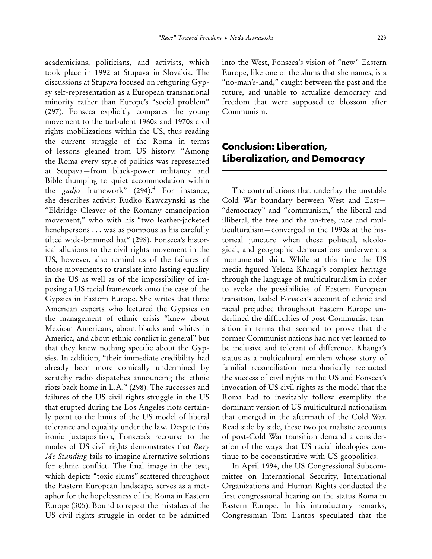academicians, politicians, and activists, which took place in 1992 at Stupava in Slovakia. The discussions at Stupava focused on refiguring Gypsy self-representation as a European transnational minority rather than Europe's "social problem" (297). Fonseca explicitly compares the young movement to the turbulent 1960s and 1970s civil rights mobilizations within the US, thus reading the current struggle of the Roma in terms of lessons gleaned from US history. ''Among the Roma every style of politics was represented at Stupava—from black-power militancy and Bible-thumping to quiet accommodation within the gadjo framework"  $(294).$ <sup>4</sup> For instance, she describes activist Rudko Kawczynski as the ''Eldridge Cleaver of the Romany emancipation movement," who with his "two leather-jacketed henchpersons ... was as pompous as his carefully tilted wide-brimmed hat'' (298). Fonseca's historical allusions to the civil rights movement in the US, however, also remind us of the failures of those movements to translate into lasting equality in the US as well as of the impossibility of imposing a US racial framework onto the case of the Gypsies in Eastern Europe. She writes that three American experts who lectured the Gypsies on the management of ethnic crisis ''knew about Mexican Americans, about blacks and whites in America, and about ethnic conflict in general'' but that they knew nothing specific about the Gypsies. In addition, "their immediate credibility had already been more comically undermined by scratchy radio dispatches announcing the ethnic riots back home in L.A.'' (298). The successes and failures of the US civil rights struggle in the US that erupted during the Los Angeles riots certainly point to the limits of the US model of liberal tolerance and equality under the law. Despite this ironic juxtaposition, Fonseca's recourse to the modes of US civil rights demonstrates that Bury Me Standing fails to imagine alternative solutions for ethnic conflict. The final image in the text, which depicts "toxic slums" scattered throughout the Eastern European landscape, serves as a metaphor for the hopelessness of the Roma in Eastern Europe (305). Bound to repeat the mistakes of the US civil rights struggle in order to be admitted into the West, Fonseca's vision of "new" Eastern Europe, like one of the slums that she names, is a "no-man's-land," caught between the past and the future, and unable to actualize democracy and freedom that were supposed to blossom after Communism.

## Conclusion: Liberation, Liberalization, and Democracy

The contradictions that underlay the unstable Cold War boundary between West and East— "democracy" and "communism," the liberal and illiberal, the free and the un-free, race and multiculturalism—converged in the 1990s at the historical juncture when these political, ideological, and geographic demarcations underwent a monumental shift. While at this time the US media figured Yelena Khanga's complex heritage through the language of multiculturalism in order to evoke the possibilities of Eastern European transition, Isabel Fonseca's account of ethnic and racial prejudice throughout Eastern Europe underlined the difficulties of post-Communist transition in terms that seemed to prove that the former Communist nations had not yet learned to be inclusive and tolerant of difference. Khanga's status as a multicultural emblem whose story of familial reconciliation metaphorically reenacted the success of civil rights in the US and Fonseca's invocation of US civil rights as the model that the Roma had to inevitably follow exemplify the dominant version of US multicultural nationalism that emerged in the aftermath of the Cold War. Read side by side, these two journalistic accounts of post-Cold War transition demand a consideration of the ways that US racial ideologies continue to be coconstitutive with US geopolitics.

In April 1994, the US Congressional Subcommittee on International Security, International Organizations and Human Rights conducted the first congressional hearing on the status Roma in Eastern Europe. In his introductory remarks, Congressman Tom Lantos speculated that the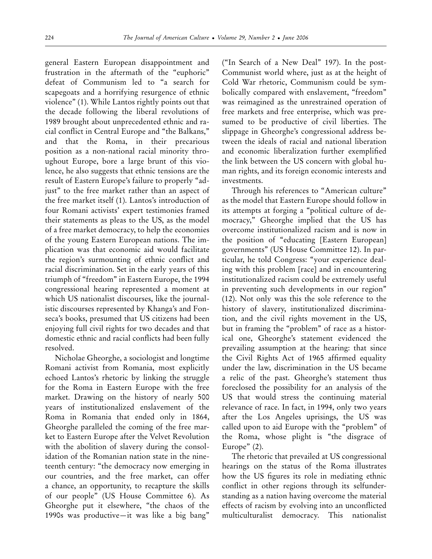general Eastern European disappointment and frustration in the aftermath of the "euphoric" defeat of Communism led to ''a search for scapegoats and a horrifying resurgence of ethnic violence'' (1). While Lantos rightly points out that the decade following the liberal revolutions of 1989 brought about unprecedented ethnic and racial conflict in Central Europe and ''the Balkans,'' and that the Roma, in their precarious position as a non-national racial minority throughout Europe, bore a large brunt of this violence, he also suggests that ethnic tensions are the result of Eastern Europe's failure to properly ''adjust" to the free market rather than an aspect of the free market itself (1). Lantos's introduction of four Romani activists' expert testimonies framed their statements as pleas to the US, as the model of a free market democracy, to help the economies of the young Eastern European nations. The implication was that economic aid would facilitate the region's surmounting of ethnic conflict and racial discrimination. Set in the early years of this triumph of "freedom" in Eastern Europe, the 1994 congressional hearing represented a moment at which US nationalist discourses, like the journalistic discourses represented by Khanga's and Fonseca's books, presumed that US citizens had been enjoying full civil rights for two decades and that domestic ethnic and racial conflicts had been fully resolved.

Nicholae Gheorghe, a sociologist and longtime Romani activist from Romania, most explicitly echoed Lantos's rhetoric by linking the struggle for the Roma in Eastern Europe with the free market. Drawing on the history of nearly 500 years of institutionalized enslavement of the Roma in Romania that ended only in 1864, Gheorghe paralleled the coming of the free market to Eastern Europe after the Velvet Revolution with the abolition of slavery during the consolidation of the Romanian nation state in the nineteenth century: ''the democracy now emerging in our countries, and the free market, can offer a chance, an opportunity, to recapture the skills of our people'' (US House Committee 6). As Gheorghe put it elsewhere, "the chaos of the 1990s was productive—it was like a big bang'' (''In Search of a New Deal'' 197). In the post-Communist world where, just as at the height of Cold War rhetoric, Communism could be symbolically compared with enslavement, "freedom" was reimagined as the unrestrained operation of free markets and free enterprise, which was presumed to be productive of civil liberties. The slippage in Gheorghe's congressional address between the ideals of racial and national liberation and economic liberalization further exemplified the link between the US concern with global human rights, and its foreign economic interests and investments.

Through his references to "American culture" as the model that Eastern Europe should follow in its attempts at forging a "political culture of democracy,'' Gheorghe implied that the US has overcome institutionalized racism and is now in the position of ''educating [Eastern European] governments'' (US House Committee 12). In particular, he told Congress: ''your experience dealing with this problem [race] and in encountering institutionalized racism could be extremely useful in preventing such developments in our region'' (12). Not only was this the sole reference to the history of slavery, institutionalized discrimination, and the civil rights movement in the US, but in framing the "problem" of race as a historical one, Gheorghe's statement evidenced the prevailing assumption at the hearing: that since the Civil Rights Act of 1965 affirmed equality under the law, discrimination in the US became a relic of the past. Gheorghe's statement thus foreclosed the possibility for an analysis of the US that would stress the continuing material relevance of race. In fact, in 1994, only two years after the Los Angeles uprisings, the US was called upon to aid Europe with the "problem" of the Roma, whose plight is ''the disgrace of Europe"  $(2)$ .

The rhetoric that prevailed at US congressional hearings on the status of the Roma illustrates how the US figures its role in mediating ethnic conflict in other regions through its selfunderstanding as a nation having overcome the material effects of racism by evolving into an unconflicted multiculturalist democracy. This nationalist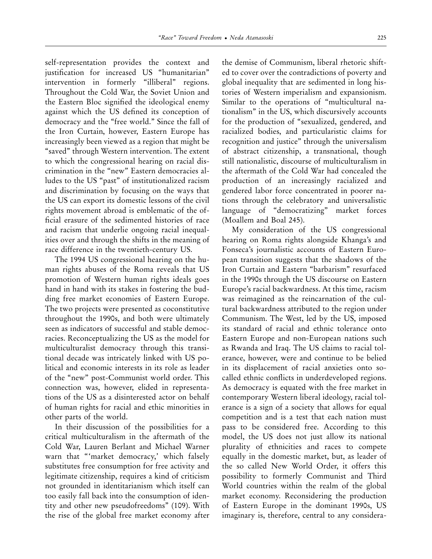self-representation provides the context and justification for increased US ''humanitarian'' intervention in formerly "illiberal" regions. Throughout the Cold War, the Soviet Union and the Eastern Bloc signified the ideological enemy against which the US defined its conception of democracy and the "free world." Since the fall of the Iron Curtain, however, Eastern Europe has increasingly been viewed as a region that might be "saved" through Western intervention. The extent to which the congressional hearing on racial discrimination in the "new" Eastern democracies alludes to the US "past" of institutionalized racism and discrimination by focusing on the ways that the US can export its domestic lessons of the civil rights movement abroad is emblematic of the official erasure of the sedimented histories of race and racism that underlie ongoing racial inequalities over and through the shifts in the meaning of race difference in the twentieth-century US.

The 1994 US congressional hearing on the human rights abuses of the Roma reveals that US promotion of Western human rights ideals goes hand in hand with its stakes in fostering the budding free market economies of Eastern Europe. The two projects were presented as coconstitutive throughout the 1990s, and both were ultimately seen as indicators of successful and stable democracies. Reconceptualizing the US as the model for multiculturalist democracy through this transitional decade was intricately linked with US political and economic interests in its role as leader of the ''new'' post-Communist world order. This connection was, however, elided in representations of the US as a disinterested actor on behalf of human rights for racial and ethic minorities in other parts of the world.

In their discussion of the possibilities for a critical multiculturalism in the aftermath of the Cold War, Lauren Berlant and Michael Warner warn that "'market democracy,' which falsely substitutes free consumption for free activity and legitimate citizenship, requires a kind of criticism not grounded in identitarianism which itself can too easily fall back into the consumption of identity and other new pseudofreedoms'' (109). With the rise of the global free market economy after the demise of Communism, liberal rhetoric shifted to cover over the contradictions of poverty and global inequality that are sedimented in long histories of Western imperialism and expansionism. Similar to the operations of "multicultural nationalism'' in the US, which discursively accounts for the production of ''sexualized, gendered, and racialized bodies, and particularistic claims for recognition and justice'' through the universalism of abstract citizenship, a transnational, though still nationalistic, discourse of multiculturalism in the aftermath of the Cold War had concealed the production of an increasingly racialized and gendered labor force concentrated in poorer nations through the celebratory and universalistic language of "democratizing" market forces (Moallem and Boal 245).

My consideration of the US congressional hearing on Roma rights alongside Khanga's and Fonseca's journalistic accounts of Eastern European transition suggests that the shadows of the Iron Curtain and Eastern "barbarism" resurfaced in the 1990s through the US discourse on Eastern Europe's racial backwardness. At this time, racism was reimagined as the reincarnation of the cultural backwardness attributed to the region under Communism. The West, led by the US, imposed its standard of racial and ethnic tolerance onto Eastern Europe and non-European nations such as Rwanda and Iraq. The US claims to racial tolerance, however, were and continue to be belied in its displacement of racial anxieties onto socalled ethnic conflicts in underdeveloped regions. As democracy is equated with the free market in contemporary Western liberal ideology, racial tolerance is a sign of a society that allows for equal competition and is a test that each nation must pass to be considered free. According to this model, the US does not just allow its national plurality of ethnicities and races to compete equally in the domestic market, but, as leader of the so called New World Order, it offers this possibility to formerly Communist and Third World countries within the realm of the global market economy. Reconsidering the production of Eastern Europe in the dominant 1990s, US imaginary is, therefore, central to any considera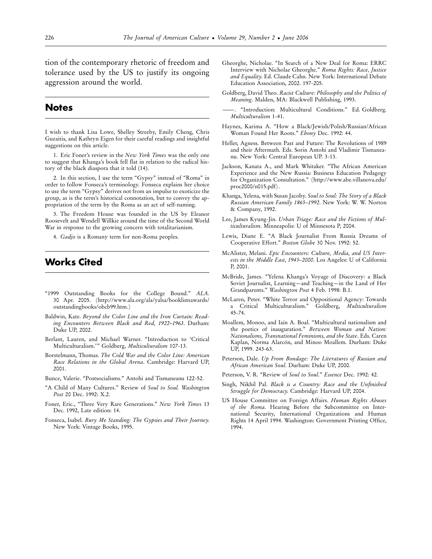tion of the contemporary rhetoric of freedom and tolerance used by the US to justify its ongoing aggression around the world.

#### **Notes**

I wish to thank Lisa Lowe, Shelley Streeby, Emily Cheng, Chris Guzaitis, and Kathryn Eigen for their careful readings and insightful suggestions on this article.

1. Eric Foner's review in the New York Times was the only one to suggest that Khanga's book fell flat in relation to the radical history of the black diaspora that it told (14).

2. In this section, I use the term "Gypsy" instead of "Roma" in order to follow Fonseca's terminology. Fonseca explains her choice to use the term "Gypsy" derives not from an impulse to exoticize the group, as is the term's historical connotation, but to convey the appropriation of the term by the Roma as an act of self-naming.

3. The Freedom House was founded in the US by Eleanor Roosevelt and Wendell Willkie around the time of the Second World War in response to the growing concern with totalitarianism.

4. Gadjo is a Romany term for non-Roma peoples.

#### Works Cited

- "1999 Outstanding Books for the College Bound." ALA. 30 Apr. 2005. hhttp://www.ala.org/ala/yalsa/booklistsawards/ outstandingbooks/obcb99.htm.)
- Baldwin, Kate. Beyond the Color Line and the Iron Curtain: Reading Encounters Between Black and Red, 1922–1963. Durham: Duke UP, 2002.
- Berlant, Lauren, and Michael Warner. ''Introduction to 'Critical Multiculturalism.''' Goldberg, Multiculturalism 107-13.
- Borstelmann, Thomas. The Cold War and the Color Line: American Race Relations in the Global Arena. Cambridge: Harvard UP, 2001.
- Bunce, Valerie. "Postsocialisms." Antohi and Tismaneanu 122-52.
- "A Child of Many Cultures." Review of Soul to Soul. Washington Post 20 Dec. 1992: X.2.
- Foner, Eric., "Three Very Rare Generations." New York Times 13 Dec. 1992, Late edition: 14.
- Fonseca, Isabel. Bury Me Standing: The Gypsies and Their Journey. New York: Vintage Books, 1995.
- Gheorghe, Nicholae. ''In Search of a New Deal for Roma: ERRC Interview with Nicholae Gheorghe.'' Roma Rights: Race, Justice and Equality. Ed. Claude Cahn. New York: International Debate Education Association, 2002. 197-205.
- Goldberg, David Theo. Racist Culture: Philosophy and the Politics of Meaning. Malden, MA: Blackwell Publishing, 1993.
- "Introduction: Multicultural Conditions." Ed. Goldberg. Multiculturalism 1-41.
- Haynes, Karima A. "How a Black/Jewish/Polish/Russian/African Woman Found Her Roots." Ebony Dec. 1992: 44.
- Heller, Agness. Between Past and Future: The Revolutions of 1989 and their Aftermath. Eds. Sorin Antohi and Vladimir Tismaneanu. New York: Central European UP. 3-13.
- Jackson, Kanata A., and Mark Whitaker. ''The African American Experience and the New Russia: Business Education Pedagogy for Organization Consultation." (http://www.abe.villanova.edu/  $proc2000/n015.pdf$ .
- Khanga, Yelena, with Susan Jacoby. Soul to Soul: The Story of a Black Russian American Family 1865–1992. New York: W. W. Norton & Company, 1992.
- Lee, James Kyung-Jin. Urban Triage: Race and the Fictions of Multiculturalism. Minneapolis: U of Minnesota P, 2004.
- Lewis, Diane E. "A Black Journalist From Russia Dreams of Cooperative Effort.'' Boston Globe 30 Nov. 1992: 52.
- McAlister, Melani. Epic Encounters: Culture, Media, and US Interests in the Middle East, 1945–2000. Los Angeles: U of California P, 2001.
- McBride, James. ''Yelena Khanga's Voyage of Discovery: a Black Soviet Journalist, Learning—and Teaching—in the Land of Her Grandparents.'' Washington Post 4 Feb. 1998: B.1.
- McLaren, Peter. ''White Terror and Oppositional Agency: Towards a Critical Multiculturalism.'' Goldberg, Multiculturalism 45-74.
- Moallem, Monoo, and Iain A. Boal. ''Multicultural nationalism and the poetics of inauguration." Between Woman and Nation: Nationalisms, Transnational Feminisms, and the State. Eds. Caren Kaplan, Norma Alarcón, and Minoo Moallem. Durham: Duke UP, 1999. 243-63.
- Peterson, Dale. Up From Bondage: The Literatures of Russian and African American Soul. Durham: Duke UP, 2000.
- Peterson, V. R. "Review of Soul to Soul." Essence Dec. 1992: 42.
- Singh, Nikhil Pal. Black is a Country: Race and the Unfinished Struggle for Democracy. Cambridge: Harvard UP, 2004.
- US House Committee on Foreign Affairs. Human Rights Abuses of the Roma. Hearing Before the Subcommittee on International Security, International Organizations and Human Rights 14 April 1994. Washington: Government Printing Office, 1994.